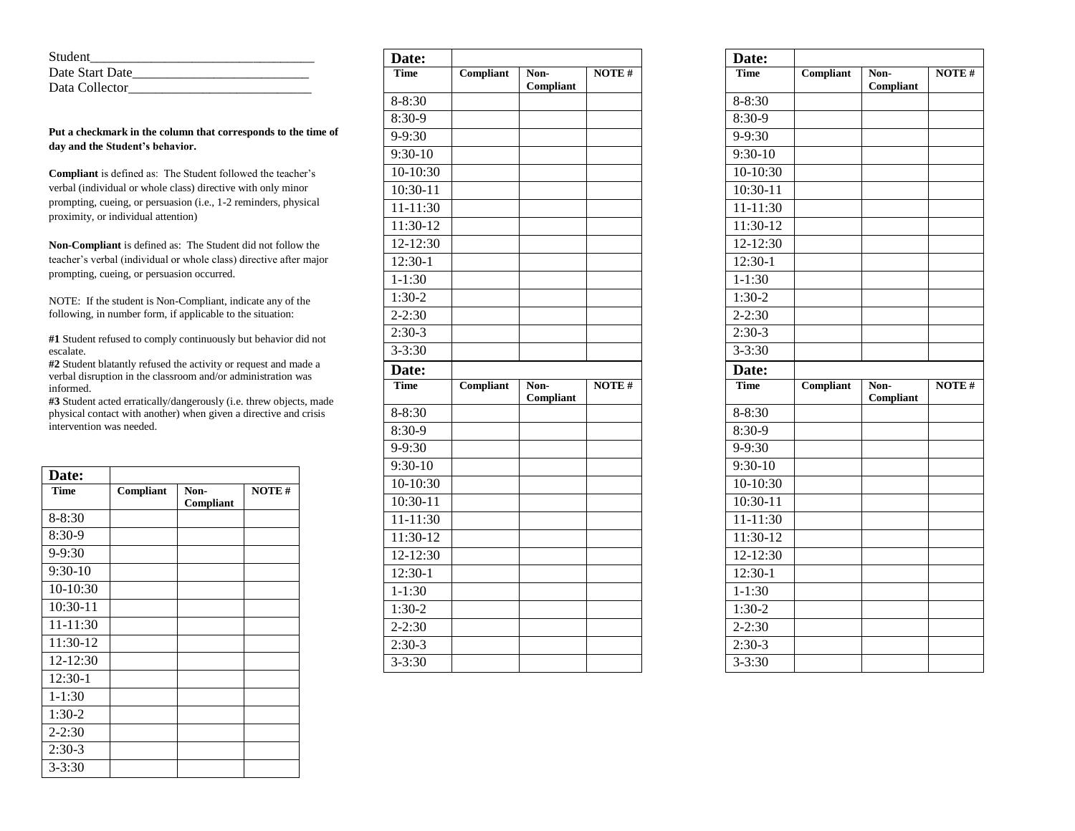| Student         |  |
|-----------------|--|
| Date Start Date |  |
| Data Collector  |  |

**Put a checkmark in the column that corresponds to the time of day and the Student's behavior.** 

**Compliant** is defined as: The Student followed the teacher's verbal (individual or whole class) directive with only minor prompting, cueing, or persuasion (i.e., 1-2 reminders, physical proximity, or individual attention)

**Non-Compliant** is defined as: The Student did not follow the teacher's verbal (individual or whole class) directive after major prompting, cueing, or persuasion occurred.

NOTE: If the student is Non-Compliant, indicate any of the following, in number form, if applicable to the situation:

**#1** Student refused to comply continuously but behavior did not escalate.

**#2** Student blatantly refused the activity or request and made a verbal disruption in the classroom and/or administration was informed.

**#3** Student acted erratically/dangerously (i.e. threw objects, made physical contact with another) when given a directive and crisis intervention was needed.

| Date:       |           |                   |              |
|-------------|-----------|-------------------|--------------|
| <b>Time</b> | Compliant | Non-<br>Compliant | <b>NOTE#</b> |
| $8 - 8:30$  |           |                   |              |
| 8:30-9      |           |                   |              |
| $9 - 9:30$  |           |                   |              |
| $9:30-10$   |           |                   |              |
| 10-10:30    |           |                   |              |
| $10:30-11$  |           |                   |              |
| 11-11:30    |           |                   |              |
| 11:30-12    |           |                   |              |
| 12-12:30    |           |                   |              |
| 12:30-1     |           |                   |              |
| $1 - 1:30$  |           |                   |              |
| $1:30-2$    |           |                   |              |
| $2 - 2:30$  |           |                   |              |
| $2:30-3$    |           |                   |              |
| $3 - 3:30$  |           |                   |              |

| Date:        |           |                   |              |
|--------------|-----------|-------------------|--------------|
| Time         | Compliant | Non-<br>Compliant | <b>NOTE#</b> |
| 8-8:30       |           |                   |              |
| $8:30-9$     |           |                   |              |
| 9-9:30       |           |                   |              |
| $9:30-10$    |           |                   |              |
| $10-10:30$   |           |                   |              |
| $10:30-11$   |           |                   |              |
| 11-11:30     |           |                   |              |
| 11:30-12     |           |                   |              |
| $12 - 12:30$ |           |                   |              |
| 12:30-1      |           |                   |              |
| $1 - 1:30$   |           |                   |              |
| $1:30-2$     |           |                   |              |
| $2 - 2:30$   |           |                   |              |
| $2:30-3$     |           |                   |              |
| $3 - 3:30$   |           |                   |              |
| Date:        |           |                   |              |
| <b>Time</b>  | Compliant | Non-<br>Compliant | <b>NOTE#</b> |
| 8-8:30       |           |                   |              |
| 8:30-9       |           |                   |              |
| 9-9:30       |           |                   |              |
|              |           |                   |              |
| 9:30-10      |           |                   |              |
| 10-10:30     |           |                   |              |
| $10:30-11$   |           |                   |              |
| $11 - 11:30$ |           |                   |              |
| 11:30-12     |           |                   |              |
| 12-12:30     |           |                   |              |
| 12:30-1      |           |                   |              |
| $1 - 1:30$   |           |                   |              |
| $1:30-2$     |           |                   |              |
| $2 - 2:30$   |           |                   |              |
| $2:30-3$     |           |                   |              |

| Date:                |                  |                   |       |
|----------------------|------------------|-------------------|-------|
| Time                 | <b>Compliant</b> | Non-<br>Compliant | NOTE# |
| 8-8:30               |                  |                   |       |
| 8:30-9               |                  |                   |       |
| 9-9:30               |                  |                   |       |
| $9:30-10$            |                  |                   |       |
| $10-10:30$           |                  |                   |       |
| 10:30-11             |                  |                   |       |
| 11-11:30             |                  |                   |       |
| 11:30-12             |                  |                   |       |
| 12-12:30             |                  |                   |       |
| 12:30-1              |                  |                   |       |
| $1 - 1:30$           |                  |                   |       |
| $1:30-2$             |                  |                   |       |
| $\overline{2}$ -2:30 |                  |                   |       |
| $2:30-3$             |                  |                   |       |
| $3 - 3:30$           |                  |                   |       |
| Date:                |                  |                   |       |
|                      |                  |                   |       |
| <b>Time</b>          | Compliant        | Non-<br>Compliant | NOTE# |
| 8-8:30               |                  |                   |       |
| 8:30-9               |                  |                   |       |
| 9-9:30               |                  |                   |       |
| 9:30-10              |                  |                   |       |
| 10-10:30             |                  |                   |       |
| 10:30-11             |                  |                   |       |
| $11 - 11:30$         |                  |                   |       |
| 11:30-12             |                  |                   |       |
| 12-12:30             |                  |                   |       |
| 12:30-1              |                  |                   |       |
| $1 - 1:30$           |                  |                   |       |
| $1:30-2$             |                  |                   |       |
| $2 - 2:30$           |                  |                   |       |
| $2:30-3$             |                  |                   |       |